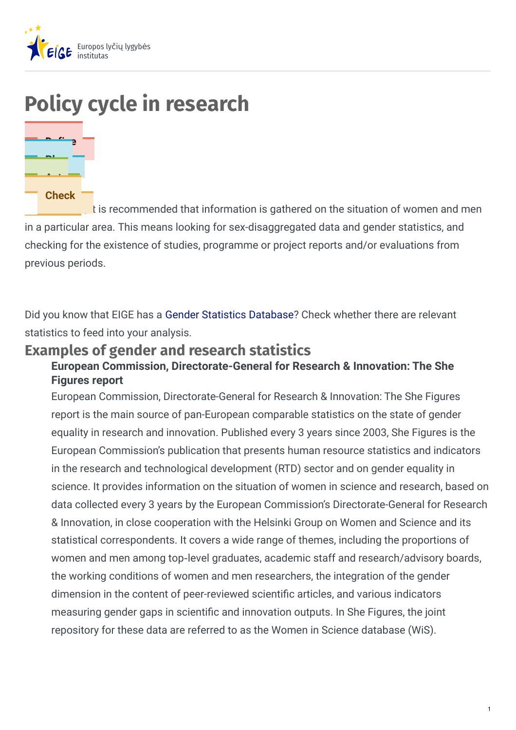

# **Policy cycle in research**



It is recommended that information is gathered on the situation of women and men in a particular area. This means looking for sex-disaggregated data and gender statistics, and checking for the existence of studies, programme or project reports and/or evaluations from previous periods.

Did you know that EIGE has a Gender Statistics [Database](http://eige.europa.eu/gender-statistics/dgs)? Check whether there are relevant statistics to feed into your analysis.

# **Examples of gender and research statistics**

### **European Commission, Directorate-General for Research & Innovation: The She Figures report**

European Commission, Directorate-General for Research & Innovation: The She Figures report is the main source of pan-European comparable statistics on the state of gender equality in research and innovation. Published every 3 years since 2003, She Figures is the European Commission's publication that presents human resource statistics and indicators in the research and technological development (RTD) sector and on gender equality in science. It provides information on the situation of women in science and research, based on data collected every 3 years by the European Commission's Directorate-General for Research & Innovation, in close cooperation with the Helsinki Group on Women and Science and its statistical correspondents. It covers a wide range of themes, including the proportions of women and men among top-level graduates, academic staff and research/advisory boards, the working conditions of women and men researchers, the integration of the gender dimension in the content of peer-reviewed scientific articles, and various indicators measuring gender gaps in scientific and innovation outputs. In She Figures, the joint repository for these data are referred to as the Women in Science database (WiS).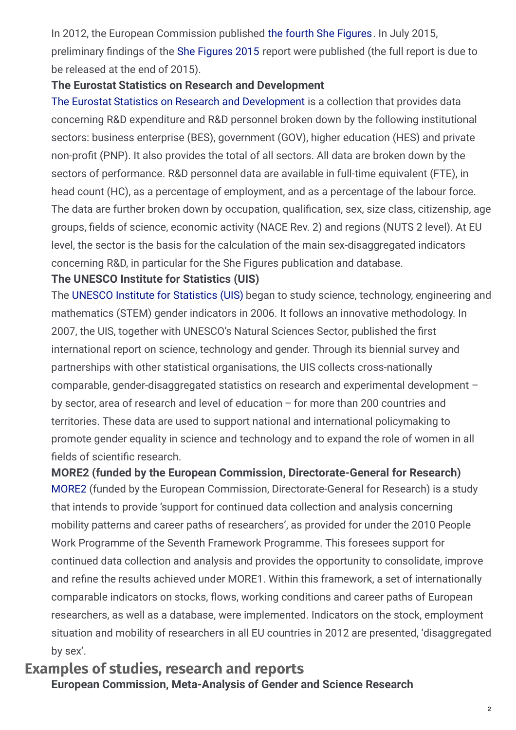In 2012, the European Commission published the fourth She [Figures](https://op.europa.eu/en/publication-detail/-/publication/ba8dc59b-61b8-4c03-9176-373fd9ddac82/language-en). In July 2015, preliminary findings of the She [Figures](https://data.europa.eu/euodp/data/dataset/she-figures-2015-gender-in-research-and-innovation) 2015 report were published (the full report is due to be released at the end of 2015).

### **The Eurostat Statistics on Research and Development**

The Eurostat Statistics on Research and [Development](http://ec.europa.eu/eurostat/web/science-technology-innovation/data/database) is a collection that provides data concerning R&D expenditure and R&D personnel broken down by the following institutional sectors: business enterprise (BES), government (GOV), higher education (HES) and private non-profit (PNP). It also provides the total of all sectors. All data are broken down by the sectors of performance. R&D personnel data are available in full-time equivalent (FTE), in head count (HC), as a percentage of employment, and as a percentage of the labour force. The data are further broken down by occupation, qualification, sex, size class, citizenship, age groups, fields of science, economic activity (NACE Rev. 2) and regions (NUTS 2 level). At EU level, the sector is the basis for the calculation of the main sex-disaggregated indicators concerning R&D, in particular for the She Figures publication and database.

### **The UNESCO Institute for Statistics (UIS)**

The UNESCO Institute for [Statistics](http://data.uis.unesco.org/) (UIS) began to study science, technology, engineering and mathematics (STEM) gender indicators in 2006. It follows an innovative methodology. In 2007, the UIS, together with UNESCO's Natural Sciences Sector, published the first international report on science, technology and gender. Through its biennial survey and partnerships with other statistical organisations, the UIS collects cross-nationally comparable, gender-disaggregated statistics on research and experimental development – by sector, area of research and level of education – for more than 200 countries and territories. These data are used to support national and international policymaking to promote gender equality in science and technology and to expand the role of women in all fields of scientific research.

[MORE2](https://euraxess.ec.europa.eu/content/more2-study-mobility-patterns-and-career-paths-researchers-2013) (funded by the European Commission, Directorate-General for Research) is a study that intends to provide 'support for continued data collection and analysis concerning mobility patterns and career paths of researchers', as provided for under the 2010 People Work Programme of the Seventh Framework Programme. This foresees support for continued data collection and analysis and provides the opportunity to consolidate, improve and refine the results achieved under MORE1. Within this framework, a set of internationally comparable indicators on stocks, flows, working conditions and career paths of European researchers, as well as a database, were implemented. Indicators on the stock, employment situation and mobility of researchers in all EU countries in 2012 are presented, 'disaggregated by sex'. **MORE2 (funded by the European Commission, Directorate-General for Research)**

### **Examples of studies, research and reports European Commission, Meta-Analysis of Gender and Science Research**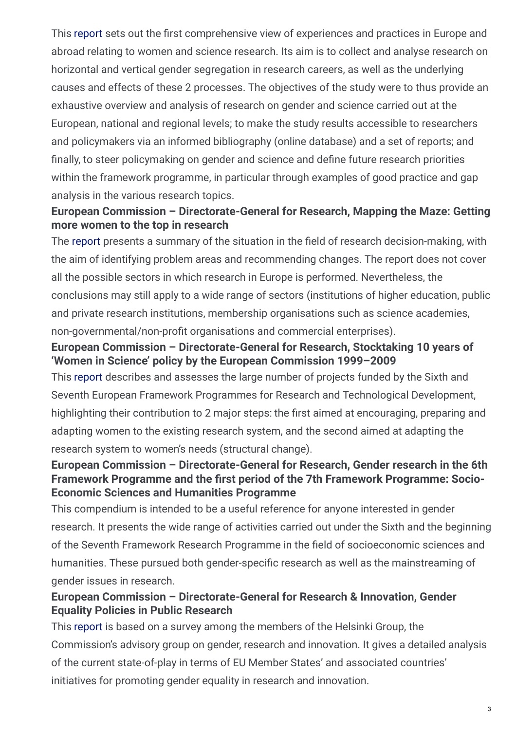This [report](https://op.europa.eu/en/publication-detail/-/publication/3516275d-c56d-4097-abc3-602863bcefc8) sets out the first comprehensive view of experiences and practices in Europe and abroad relating to women and science research. Its aim is to collect and analyse research on horizontal and vertical gender segregation in research careers, as well as the underlying causes and effects of these 2 processes. The objectives of the study were to thus provide an exhaustive overview and analysis of research on gender and science carried out at the European, national and regional levels; to make the study results accessible to researchers and policymakers via an informed bibliography (online database) and a set of reports; and finally, to steer policymaking on gender and science and define future research priorities within the framework programme, in particular through examples of good practice and gap analysis in the various research topics.

### **European Commission – Directorate-General for Research, Mapping the Maze: Getting more women to the top in research**

The [report](https://www.emerald.com/insight/content/doi/10.1108/02610150910933695/full/html) presents a summary of the situation in the field of research decision-making, with the aim of identifying problem areas and recommending changes. The report does not cover all the possible sectors in which research in Europe is performed. Nevertheless, the conclusions may still apply to a wide range of sectors (institutions of higher education, public and private research institutions, membership organisations such as science academies, non-governmental/non-profit organisations and commercial enterprises).

### **European Commission – Directorate-General for Research, Stocktaking 10 years of 'Women in Science' policy by the European Commission 1999–2009**

This [report](https://op.europa.eu/en/publication-detail/-/publication/75ec7be6-e36e-408e-9ab2-bf959825f95a/language-en) describes and assesses the large number of projects funded by the Sixth and Seventh European Framework Programmes for Research and Technological Development, highlighting their contribution to 2 major steps: the first aimed at encouraging, preparing and adapting women to the existing research system, and the second aimed at adapting the research system to women's needs (structural change).

### **European Commission – Directorate-General for Research, Gender research in the 6th Framework Programme and the 8rst period of the 7th Framework Programme: Socio-Economic Sciences and Humanities Programme**

This compendium is intended to be a useful reference for anyone interested in gender research. It presents the wide range of activities carried out under the Sixth and the beginning of the Seventh Framework Research Programme in the field of socioeconomic sciences and humanities. These pursued both gender-specific research as well as the mainstreaming of gender issues in research.

### **European Commission – Directorate-General for Research & Innovation, Gender Equality Policies in Public Research**

This [report](https://op.europa.eu/en/publication-detail/-/publication/39136151-cb1f-417c-89fb-a9a5f3b95e87/language-en/format-PDF/source-search) is based on a survey among the members of the Helsinki Group, the Commission's advisory group on gender, research and innovation. It gives a detailed analysis of the current state-of-play in terms of EU Member States' and associated countries' initiatives for promoting gender equality in research and innovation.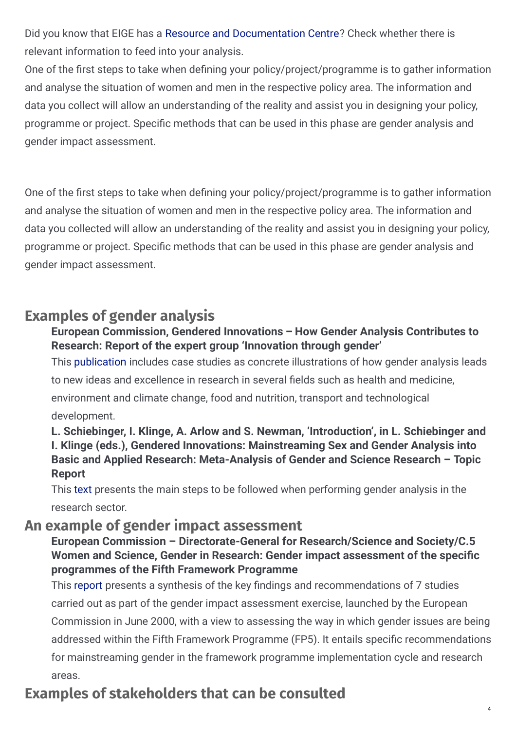Did you know that EIGE has a Resource and [Documentation](http://eige.europa.eu/rdc) Centre? Check whether there is relevant information to feed into your analysis.

One of the first steps to take when defining your policy/project/programme is to gather information and analyse the situation of women and men in the respective policy area. The information and data you collect will allow an understanding of the reality and assist you in designing your policy, programme or project. Specific methods that can be used in this phase are gender analysis and gender impact assessment.

One of the first steps to take when defining your policy/project/programme is to gather information and analyse the situation of women and men in the respective policy area. The information and data you collected will allow an understanding of the reality and assist you in designing your policy, programme or project. Specific methods that can be used in this phase are gender analysis and gender impact assessment.

# **Examples of gender analysis**

### **European Commission, Gendered Innovations – How Gender Analysis Contributes to Research: Report of the expert group 'Innovation through gender'**

This [publication](http://ec.europa.eu/newsroom/horizon2020/document.cfm?doc_id=3853) includes case studies as concrete illustrations of how gender analysis leads

to new ideas and excellence in research in several fields such as health and medicine,

environment and climate change, food and nutrition, transport and technological development.

### **L. Schiebinger, I. Klinge, A. Arlow and S. Newman, 'Introduction', in L. Schiebinger and I. Klinge (eds.), Gendered Innovations: Mainstreaming Sex and Gender Analysis into Basic and Applied Research: Meta-Analysis of Gender and Science Research – Topic Report**

This [text](https://www.researchgate.net/publication/287123663_Gendered_innovations_Mainstreaming_sex_and_gender_analysis_into_basic_and_applied_research_Meta-analysis_of_gender_and_science_research-_Topic_Report) presents the main steps to be followed when performing gender analysis in the research sector.

# **An example of gender impact assessment**

### **European Commission – Directorate-General for Research/Science and Society/C.5 Women** and Science, Gender in Research: Gender impact assessment of the specific **programmes of the Fifth Framework Programme**

This [report](https://research.rug.nl/en/publications/gender-in-research-gender-impact-assessment-of-the-specific-progr) presents a synthesis of the key findings and recommendations of 7 studies carried out as part of the gender impact assessment exercise, launched by the European Commission in June 2000, with a view to assessing the way in which gender issues are being addressed within the Fifth Framework Programme (FP5). It entails specific recommendations for mainstreaming gender in the framework programme implementation cycle and research areas.

# **Examples of stakeholders that can be consulted**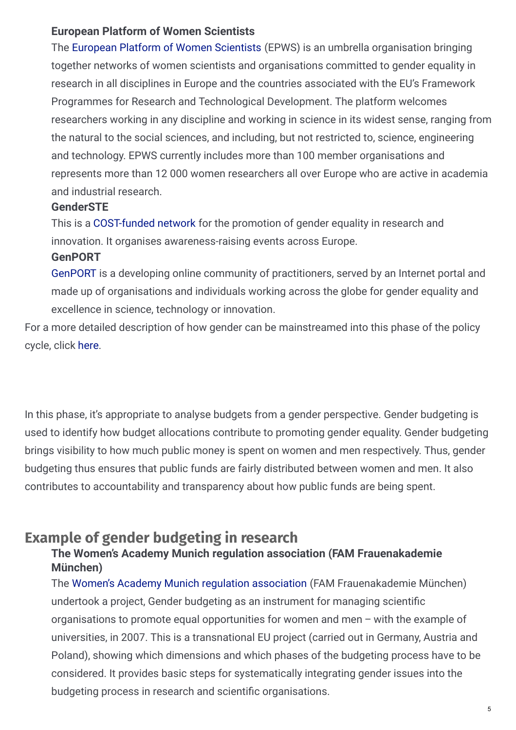#### **European Platform of Women Scientists**

The European Platform of Women [Scientists](http://www.epws.org) (EPWS) is an umbrella organisation bringing together networks of women scientists and organisations committed to gender equality in research in all disciplines in Europe and the countries associated with the EU's Framework Programmes for Research and Technological Development. The platform welcomes researchers working in any discipline and working in science in its widest sense, ranging from the natural to the social sciences, and including, but not restricted to, science, engineering and technology. EPWS currently includes more than 100 member organisations and represents more than 12 000 women researchers all over Europe who are active in academia and industrial research.

### **GenderSTE**

This is a [COST-funded](http://www.genderste.eu) network for the promotion of gender equality in research and innovation. It organises awareness-raising events across Europe.

### **GenPORT**

[GenPORT](http://www.genderportal.eu) is a developing online community of practitioners, served by an Internet portal and made up of organisations and individuals working across the globe for gender equality and excellence in science, technology or innovation.

For a more detailed description of how gender can be mainstreamed into this phase of the policy cycle, click [here](http://eige.europa.eu/rdc).

In this phase, it's appropriate to analyse budgets from a gender perspective. Gender budgeting is used to identify how budget allocations contribute to promoting gender equality. Gender budgeting brings visibility to how much public money is spent on women and men respectively. Thus, gender budgeting thus ensures that public funds are fairly distributed between women and men. It also contributes to accountability and transparency about how public funds are being spent.

# **Example of gender budgeting in research**

### **The Women's Academy Munich regulation association (FAM Frauenakademie München)**

The Women's Academy Munich regulation [association](http://frauenakademie.de/en/research/gender-budgeting) (FAM Frauenakademie München) undertook a project, Gender budgeting as an instrument for managing scientific organisations to promote equal opportunities for women and men – with the example of universities, in 2007. This is a transnational EU project (carried out in Germany, Austria and Poland), showing which dimensions and which phases of the budgeting process have to be considered. It provides basic steps for systematically integrating gender issues into the budgeting process in research and scientific organisations.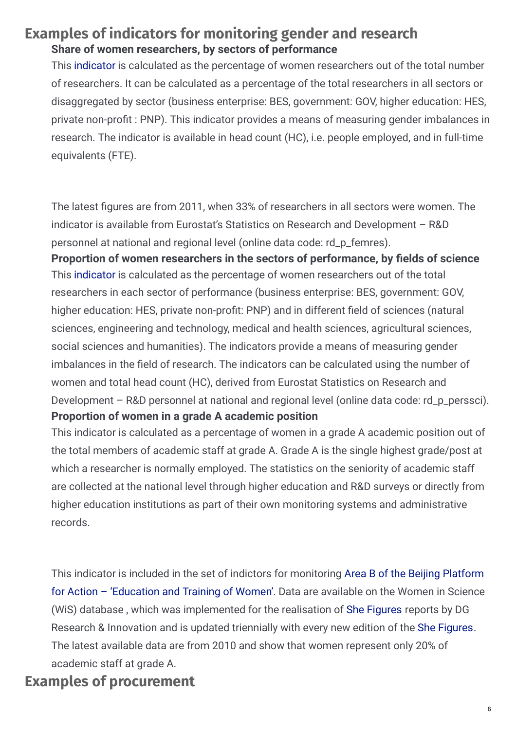# **Examples of indicators for monitoring gender and research Share of women researchers, by sectors of performance**

This [indicator](http://ec.europa.eu/eurostat/data/database?node_code=rd_p_femres) is calculated as the percentage of women researchers out of the total number of researchers. It can be calculated as a percentage of the total researchers in all sectors or disaggregated by sector (business enterprise: BES, government: GOV, higher education: HES, private non-profit : PNP). This indicator provides a means of measuring gender imbalances in research. The indicator is available in head count (HC), i.e. people employed, and in full-time equivalents (FTE).

The latest figures are from 2011, when 33% of researchers in all sectors were women. The indicator is available from Eurostat's Statistics on Research and Development – R&D personnel at national and regional level (online data code: rd\_p\_femres).

This [indicator](http://ec.europa.eu/eurostat/data/database?node_code=rd_p_perssci) is calculated as the percentage of women researchers out of the total researchers in each sector of performance (business enterprise: BES, government: GOV, higher education: HES, private non-profit: PNP) and in different field of sciences (natural sciences, engineering and technology, medical and health sciences, agricultural sciences, social sciences and humanities). The indicators provide a means of measuring gender imbalances in the field of research. The indicators can be calculated using the number of women and total head count (HC), derived from Eurostat Statistics on Research and Development – R&D personnel at national and regional level (online data code: rd\_p\_perssci). **Proportion** of women researchers in the sectors of performance, by fields of science **Proportion of women in a grade A academic position**

This indicator is calculated as a percentage of women in a grade A academic position out of the total members of academic staff at grade A. Grade A is the single highest grade/post at which a researcher is normally employed. The statistics on the seniority of academic staff are collected at the national level through higher education and R&D surveys or directly from higher education institutions as part of their own monitoring systems and administrative records.

This indicator is included in the set of indictors for [monitoring](http://eige.europa.eu/gender-statistics/women-and-men-in-the-eu-facts-and-figures/area/22/indicator/64) Area B of the Beijing Platform for Action – 'Education and Training of Women'. Data are available on the Women in Science (WiS) database , which was implemented for the realisation of She [Figures](https://ec.europa.eu/research/swafs/pdf/pub_gender_equality/she_figures_2015-leaflet-web.pdf) reports by DG Research & Innovation and is updated triennially with every new edition of the She [Figures](https://data.europa.eu/euodp/data/dataset/she-figures-2015-gender-in-research-and-innovation). The latest available data are from 2010 and show that women represent only 20% of academic staff at grade A.

# **Examples of procurement**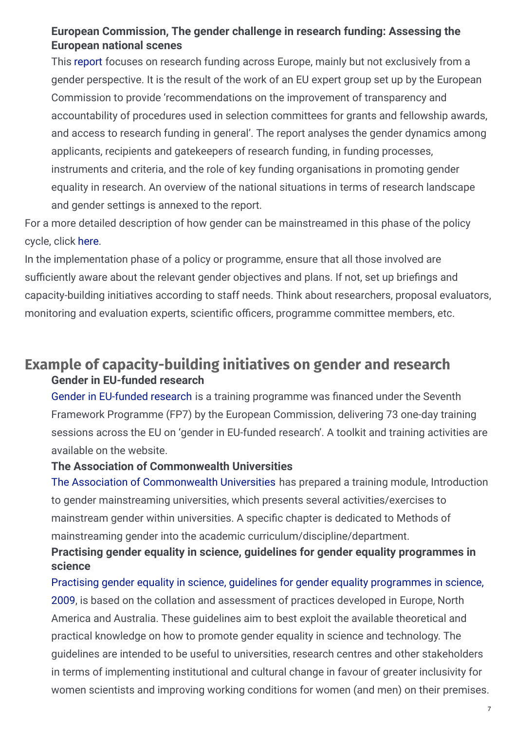### **European Commission, The gender challenge in research funding: Assessing the European national scenes**

This [report](https://www.genderportal.eu/resources/gender-challenge-research-funding-assessing-european-national-scenes) focuses on research funding across Europe, mainly but not exclusively from a gender perspective. It is the result of the work of an EU expert group set up by the European Commission to provide 'recommendations on the improvement of transparency and accountability of procedures used in selection committees for grants and fellowship awards, and access to research funding in general'. The report analyses the gender dynamics among applicants, recipients and gatekeepers of research funding, in funding processes, instruments and criteria, and the role of key funding organisations in promoting gender equality in research. An overview of the national situations in terms of research landscape and gender settings is annexed to the report.

For a more detailed description of how gender can be mainstreamed in this phase of the policy cycle, click [here](http://eige.europa.eu/gender-mainstreaming/what-is-gender-mainstreaming).

In the implementation phase of a policy or programme, ensure that all those involved are sufficiently aware about the relevant gender objectives and plans. If not, set up briefings and capacity-building initiatives according to staff needs. Think about researchers, proposal evaluators, monitoring and evaluation experts, scientific officers, programme committee members, etc.

# **Example of capacity-building initiatives on gender and research Gender in EU-funded research**

Gender in [EU-funded](http://www.yellowwindow.be/genderinresearch/) research is a training programme was financed under the Seventh Framework Programme (FP7) by the European Commission, delivering 73 one-day training sessions across the EU on 'gender in EU-funded research'. A toolkit and training activities are available on the website.

#### **The Association of Commonwealth Universities**

The Association of [Commonwealth](https://www.acu.ac.uk/) Universities has prepared a training module, Introduction to gender mainstreaming universities, which presents several activities/exercises to mainstream gender within universities. A specific chapter is dedicated to Methods of mainstreaming gender into the academic curriculum/discipline/department.

### **Practising gender equality in science, guidelines for gender equality programmes in science**

Practising gender equality in science, guidelines for gender equality [programmes](http://www.genderportal.eu/sites/default/files/resource_pool/prages-guidelines_en.pdf) in science, 2009, is based on the collation and assessment of practices developed in Europe, North America and Australia. These guidelines aim to best exploit the available theoretical and practical knowledge on how to promote gender equality in science and technology. The guidelines are intended to be useful to universities, research centres and other stakeholders in terms of implementing institutional and cultural change in favour of greater inclusivity for women scientists and improving working conditions for women (and men) on their premises.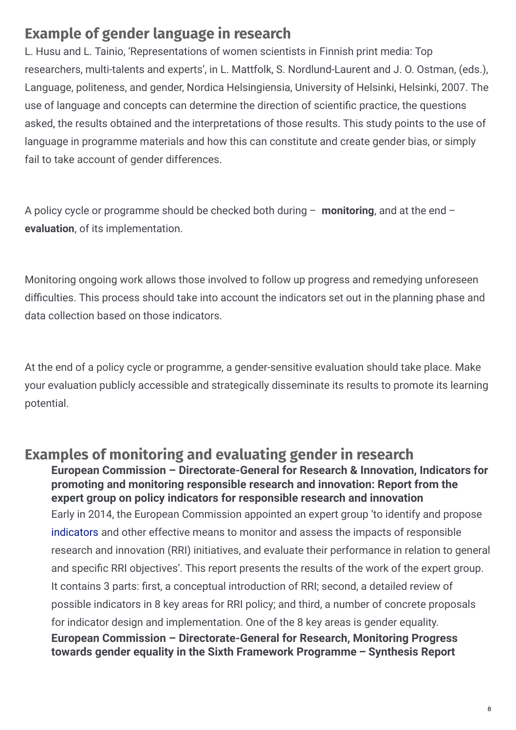# **Example of gender language in research**

L. Husu and L. Tainio, 'Representations of women scientists in Finnish print media: Top researchers, multi-talents and experts', in L. Mattfolk, S. Nordlund-Laurent and J. O. Ostman, (eds.), Language, politeness, and gender, Nordica Helsingiensia, University of Helsinki, Helsinki, 2007. The use of language and concepts can determine the direction of scientific practice, the questions asked, the results obtained and the interpretations of those results. This study points to the use of language in programme materials and how this can constitute and create gender bias, or simply fail to take account of gender differences.

A policy cycle or programme should be checked both during – **monitoring**, and at the end – **evaluation**, of its implementation.

Monitoring ongoing work allows those involved to follow up progress and remedying unforeseen difficulties. This process should take into account the indicators set out in the planning phase and data collection based on those indicators.

At the end of a policy cycle or programme, a gender-sensitive evaluation should take place. Make your evaluation publicly accessible and strategically disseminate its results to promote its learning potential.

**Examples of monitoring and evaluating gender in research** Early in 2014, the European Commission appointed an expert group 'to identify and propose [indicators](https://op.europa.eu/en/publication-detail/-/publication/306a7ab4-f3cb-46cb-b675-9697caf5df19/language-en) and other effective means to monitor and assess the impacts of responsible research and innovation (RRI) initiatives, and evaluate their performance in relation to general and specific RRI objectives'. This report presents the results of the work of the expert group. It contains 3 parts: first, a conceptual introduction of RRI; second, a detailed review of possible indicators in 8 key areas for RRI policy; and third, a number of concrete proposals for indicator design and implementation. One of the 8 key areas is gender equality. **European Commission – Directorate-General for Research & Innovation, Indicators for promoting and monitoring responsible research and innovation: Report from the expert group on policy indicators for responsible research and innovation European Commission – Directorate-General for Research, Monitoring Progress towards gender equality in the Sixth Framework Programme – Synthesis Report**